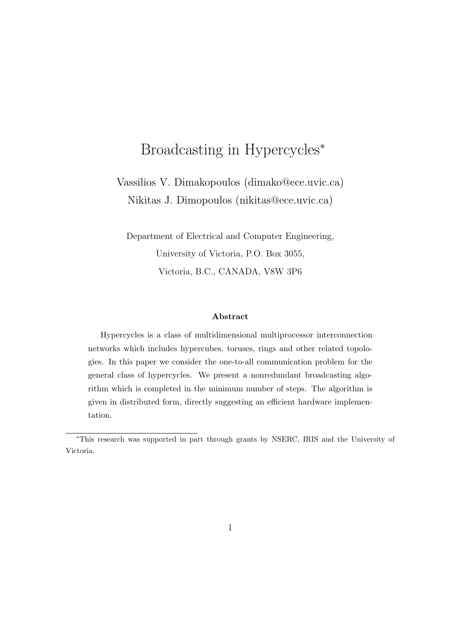# Broadcasting in Hypercycles<sup>\*</sup>

Vassilios V. Dimakopoulos (dimako@ece.uvic.ca) Nikitas J. Dimopoulos (nikitas@ece.uvic.ca)

Department of Electrical and Computer Engineering, University of Victoria, P.O. Box 3055, Victoria, B.C., CANADA, V8W 3P6

#### Abstract

Hypercycles is a class of multidimensional multiprocessor interconnection networks which includes hypercubes, toruses, rings and other related topologies. In this paper we consider the one-to-all communication problem for the general class of hypercycles. We present a nonredundant broadcasting algorithm which is completed in the minimum number of steps. The algorithm is given in distributed form, directly suggesting an efficient hardware implementation.

<sup>∗</sup>This research was supported in part through grants by NSERC, IRIS and the University of Victoria.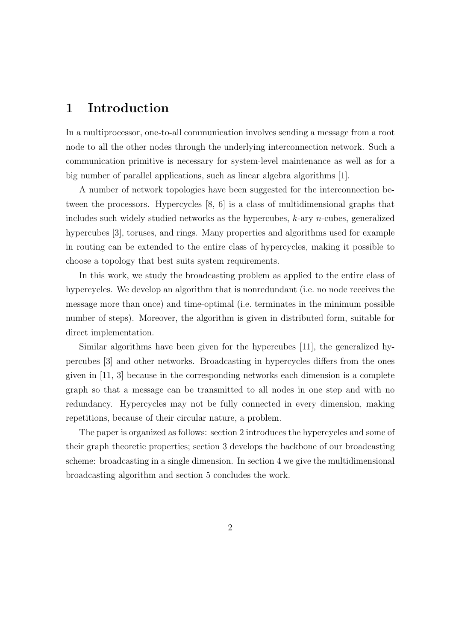## 1 Introduction

In a multiprocessor, one-to-all communication involves sending a message from a root node to all the other nodes through the underlying interconnection network. Such a communication primitive is necessary for system-level maintenance as well as for a big number of parallel applications, such as linear algebra algorithms [1].

A number of network topologies have been suggested for the interconnection between the processors. Hypercycles [8, 6] is a class of multidimensional graphs that includes such widely studied networks as the hypercubes,  $k$ -ary  $n$ -cubes, generalized hypercubes [3], toruses, and rings. Many properties and algorithms used for example in routing can be extended to the entire class of hypercycles, making it possible to choose a topology that best suits system requirements.

In this work, we study the broadcasting problem as applied to the entire class of hypercycles. We develop an algorithm that is nonredundant (i.e. no node receives the message more than once) and time-optimal (i.e. terminates in the minimum possible number of steps). Moreover, the algorithm is given in distributed form, suitable for direct implementation.

Similar algorithms have been given for the hypercubes [11], the generalized hypercubes [3] and other networks. Broadcasting in hypercycles differs from the ones given in [11, 3] because in the corresponding networks each dimension is a complete graph so that a message can be transmitted to all nodes in one step and with no redundancy. Hypercycles may not be fully connected in every dimension, making repetitions, because of their circular nature, a problem.

The paper is organized as follows: section 2 introduces the hypercycles and some of their graph theoretic properties; section 3 develops the backbone of our broadcasting scheme: broadcasting in a single dimension. In section 4 we give the multidimensional broadcasting algorithm and section 5 concludes the work.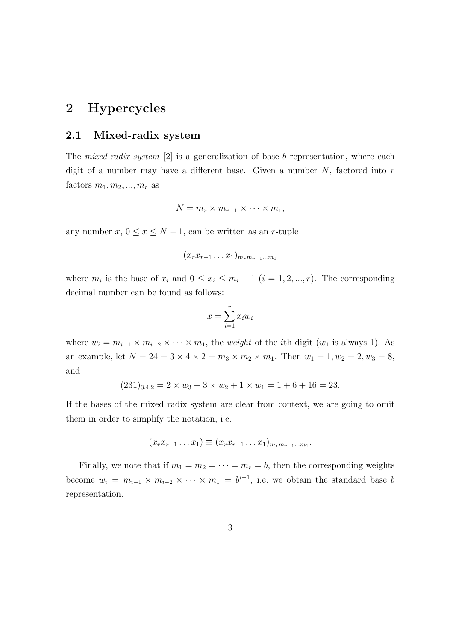### 2 Hypercycles

#### 2.1 Mixed-radix system

The mixed-radix system [2] is a generalization of base b representation, where each digit of a number may have a different base. Given a number  $N$ , factored into  $r$ factors  $m_1, m_2, ..., m_r$  as

$$
N = m_r \times m_{r-1} \times \cdots \times m_1,
$$

any number  $x, 0 \le x \le N - 1$ , can be written as an r-tuple

$$
(x_r x_{r-1} \ldots x_1)_{m_r m_{r-1} \ldots m_1}
$$

where  $m_i$  is the base of  $x_i$  and  $0 \le x_i \le m_i - 1$   $(i = 1, 2, ..., r)$ . The corresponding decimal number can be found as follows:

$$
x = \sum_{i=1}^{r} x_i w_i
$$

where  $w_i = m_{i-1} \times m_{i-2} \times \cdots \times m_1$ , the *weight* of the *i*th digit ( $w_1$  is always 1). As an example, let  $N = 24 = 3 \times 4 \times 2 = m_3 \times m_2 \times m_1$ . Then  $w_1 = 1, w_2 = 2, w_3 = 8$ , and

$$
(231)_{3,4,2} = 2 \times w_3 + 3 \times w_2 + 1 \times w_1 = 1 + 6 + 16 = 23.
$$

If the bases of the mixed radix system are clear from context, we are going to omit them in order to simplify the notation, i.e.

$$
(x_r x_{r-1} \dots x_1) \equiv (x_r x_{r-1} \dots x_1)_{m_r m_{r-1} \dots m_1}.
$$

Finally, we note that if  $m_1 = m_2 = \cdots = m_r = b$ , then the corresponding weights become  $w_i = m_{i-1} \times m_{i-2} \times \cdots \times m_1 = b^{i-1}$ , i.e. we obtain the standard base b representation.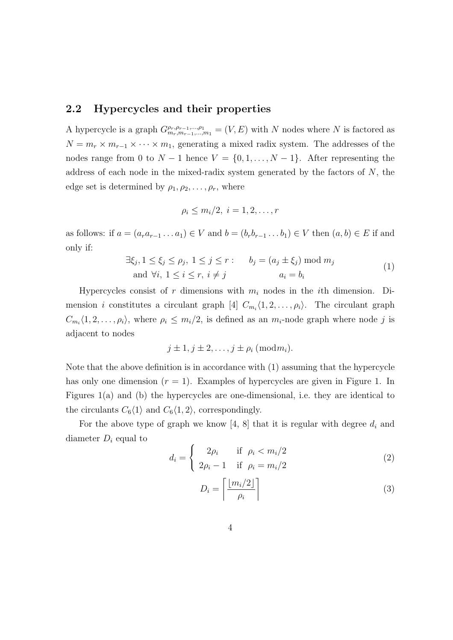#### 2.2 Hypercycles and their properties

A hypercycle is a graph  $G_{m_r,m_{r-1},...,m_1}^{\rho_r,\rho_{r-1},..., \rho_1} = (V, E)$  with N nodes where N is factored as  $N = m_r \times m_{r-1} \times \cdots \times m_1$ , generating a mixed radix system. The addresses of the nodes range from 0 to  $N-1$  hence  $V = \{0, 1, \ldots, N-1\}$ . After representing the address of each node in the mixed-radix system generated by the factors of  $N$ , the edge set is determined by  $\rho_1, \rho_2, \ldots, \rho_r$ , where

$$
\rho_i \leq m_i/2, \ i=1,2,\ldots,r
$$

as follows: if  $a = (a_r a_{r-1} \dots a_1) \in V$  and  $b = (b_r b_{r-1} \dots b_1) \in V$  then  $(a, b) \in E$  if and only if:

$$
\exists \xi_j, 1 \le \xi_j \le \rho_j, 1 \le j \le r: \qquad b_j = (a_j \pm \xi_j) \mod m_j
$$
  
and  $\forall i, 1 \le i \le r, i \ne j$   $a_i = b_i$  (1)

Hypercycles consist of r dimensions with  $m_i$  nodes in the *i*th dimension. Dimension *i* constitutes a circulant graph [4]  $C_{m_i}(1, 2, \ldots, \rho_i)$ . The circulant graph  $C_{m_i}(1, 2, \ldots, \rho_i)$ , where  $\rho_i \leq m_i/2$ , is defined as an  $m_i$ -node graph where node j is adjacent to nodes

$$
j \pm 1, j \pm 2, \ldots, j \pm \rho_i \; (\mathrm{mod} \, m_i).
$$

Note that the above definition is in accordance with (1) assuming that the hypercycle has only one dimension  $(r = 1)$ . Examples of hypercycles are given in Figure 1. In Figures 1(a) and (b) the hypercycles are one-dimensional, i.e. they are identical to the circulants  $C_6\langle 1\rangle$  and  $C_6\langle 1, 2\rangle$ , correspondingly.

For the above type of graph we know [4, 8] that it is regular with degree  $d_i$  and diameter  $D_i$  equal to

$$
d_i = \begin{cases} 2\rho_i & \text{if } \rho_i < m_i/2\\ 2\rho_i - 1 & \text{if } \rho_i = m_i/2 \end{cases} \tag{2}
$$

$$
D_i = \left\lceil \frac{\lfloor m_i/2 \rfloor}{\rho_i} \right\rceil \tag{3}
$$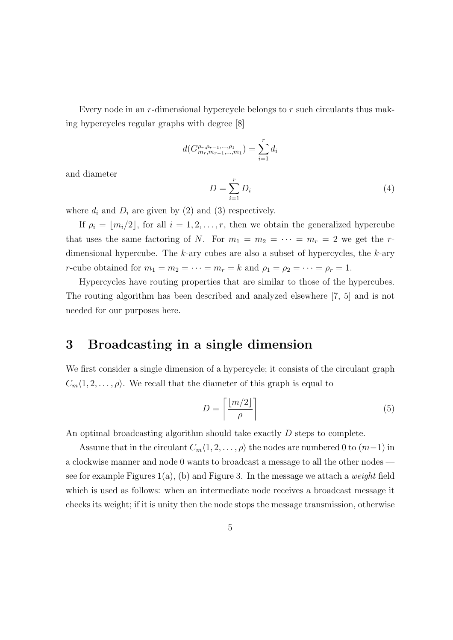Every node in an  $r$ -dimensional hypercycle belongs to  $r$  such circulants thus making hypercycles regular graphs with degree [8]

$$
d(G_{m_r,m_{r-1},...,m_1}^{\rho_r,\rho_{r-1},...,\rho_1})=\sum_{i=1}^r d_i
$$

and diameter

$$
D = \sum_{i=1}^{r} D_i \tag{4}
$$

where  $d_i$  and  $D_i$  are given by (2) and (3) respectively.

If  $\rho_i = \lfloor m_i/2 \rfloor$ , for all  $i = 1, 2, \ldots, r$ , then we obtain the generalized hypercube that uses the same factoring of N. For  $m_1 = m_2 = \cdots = m_r = 2$  we get the rdimensional hypercube. The k-ary cubes are also a subset of hypercycles, the  $k$ -ary r-cube obtained for  $m_1 = m_2 = \cdots = m_r = k$  and  $\rho_1 = \rho_2 = \cdots = \rho_r = 1$ .

Hypercycles have routing properties that are similar to those of the hypercubes. The routing algorithm has been described and analyzed elsewhere [7, 5] and is not needed for our purposes here.

### 3 Broadcasting in a single dimension

We first consider a single dimension of a hypercycle; it consists of the circulant graph  $C_m\langle 1, 2, \ldots, \rho \rangle$ . We recall that the diameter of this graph is equal to

$$
D = \left\lceil \frac{\lfloor m/2 \rfloor}{\rho} \right\rceil \tag{5}
$$

An optimal broadcasting algorithm should take exactly D steps to complete.

Assume that in the circulant  $C_m\langle 1, 2, \ldots, \rho \rangle$  the nodes are numbered 0 to  $(m-1)$  in a clockwise manner and node 0 wants to broadcast a message to all the other nodes see for example Figures 1(a), (b) and Figure 3. In the message we attach a *weight* field which is used as follows: when an intermediate node receives a broadcast message it checks its weight; if it is unity then the node stops the message transmission, otherwise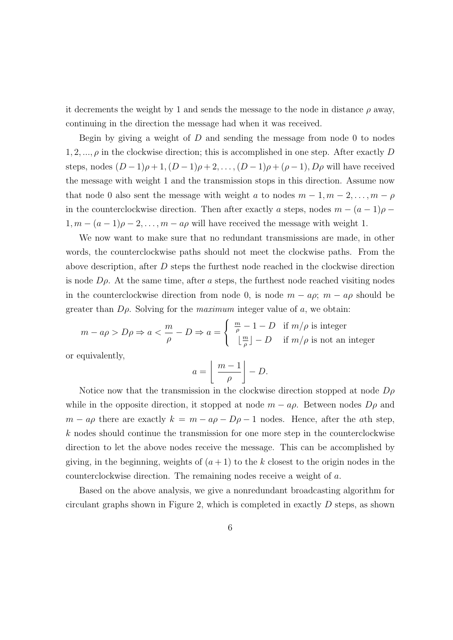it decrements the weight by 1 and sends the message to the node in distance  $\rho$  away, continuing in the direction the message had when it was received.

Begin by giving a weight of  $D$  and sending the message from node 0 to nodes  $1, 2, \ldots, \rho$  in the clockwise direction; this is accomplished in one step. After exactly D steps, nodes  $(D-1)\rho+1$ ,  $(D-1)\rho+2$ , ...,  $(D-1)\rho+(\rho-1)$ ,  $D\rho$  will have received the message with weight 1 and the transmission stops in this direction. Assume now that node 0 also sent the message with weight a to nodes  $m-1, m-2, \ldots, m-\rho$ in the counterclockwise direction. Then after exactly a steps, nodes  $m - (a - 1)\rho$  $1, m - (a - 1)\rho - 2, \ldots, m - a\rho$  will have received the message with weight 1.

We now want to make sure that no redundant transmissions are made, in other words, the counterclockwise paths should not meet the clockwise paths. From the above description, after D steps the furthest node reached in the clockwise direction is node  $D\rho$ . At the same time, after a steps, the furthest node reached visiting nodes in the counterclockwise direction from node 0, is node  $m - a\rho$ ;  $m - a\rho$  should be greater than  $D\rho$ . Solving for the *maximum* integer value of a, we obtain:

$$
m - a\rho > D\rho \Rightarrow a < \frac{m}{\rho} - D \Rightarrow a = \begin{cases} \frac{m}{\rho} - 1 - D & \text{if } m/\rho \text{ is integer} \\ \lfloor \frac{m}{\rho} \rfloor - D & \text{if } m/\rho \text{ is not an integer} \end{cases}
$$

or equivalently,

$$
a = \left\lfloor \frac{m-1}{\rho} \right\rfloor - D.
$$

Notice now that the transmission in the clockwise direction stopped at node  $D\rho$ while in the opposite direction, it stopped at node  $m - a\rho$ . Between nodes  $D\rho$  and  $m - a\rho$  there are exactly  $k = m - a\rho - D\rho - 1$  nodes. Hence, after the ath step, k nodes should continue the transmission for one more step in the counterclockwise direction to let the above nodes receive the message. This can be accomplished by giving, in the beginning, weights of  $(a + 1)$  to the k closest to the origin nodes in the counterclockwise direction. The remaining nodes receive a weight of a.

Based on the above analysis, we give a nonredundant broadcasting algorithm for circulant graphs shown in Figure 2, which is completed in exactly  $D$  steps, as shown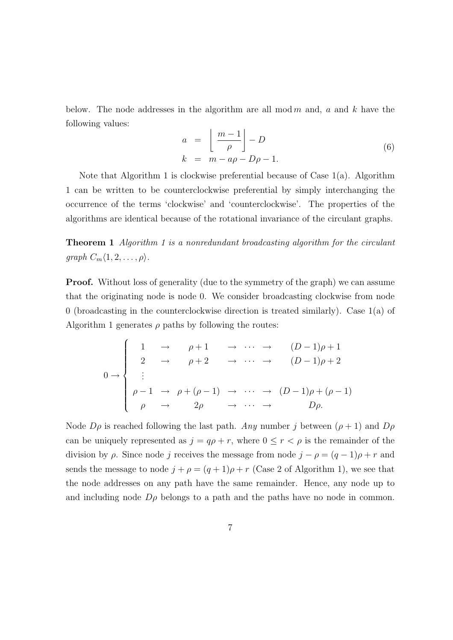below. The node addresses in the algorithm are all mod  $m$  and,  $a$  and  $k$  have the following values:

$$
a = \left\lfloor \frac{m-1}{\rho} \right\rfloor - D
$$
  
\n
$$
k = m - a\rho - D\rho - 1.
$$
\n(6)

Note that Algorithm 1 is clockwise preferential because of Case 1(a). Algorithm 1 can be written to be counterclockwise preferential by simply interchanging the occurrence of the terms 'clockwise' and 'counterclockwise'. The properties of the algorithms are identical because of the rotational invariance of the circulant graphs.

Theorem 1 Algorithm 1 is a nonredundant broadcasting algorithm for the circulant  $graph C_m\langle 1, 2, \ldots, \rho \rangle$ .

Proof. Without loss of generality (due to the symmetry of the graph) we can assume that the originating node is node 0. We consider broadcasting clockwise from node 0 (broadcasting in the counterclockwise direction is treated similarly). Case 1(a) of Algorithm 1 generates  $\rho$  paths by following the routes:

$$
0 \rightarrow \begin{cases} 1 & \rightarrow & \rho+1 & \rightarrow & \cdots & \rightarrow & (D-1)\rho+1 \\ 2 & \rightarrow & \rho+2 & \rightarrow & \cdots & \rightarrow & (D-1)\rho+2 \\ \vdots & & & & \\ \rho-1 & \rightarrow & \rho+(\rho-1) & \rightarrow & \cdots & \rightarrow & (D-1)\rho+(\rho-1) \\ \rho & \rightarrow & 2\rho & \rightarrow & \cdots & \rightarrow & D\rho. \end{cases}
$$

Node  $D\rho$  is reached following the last path. Any number j between  $(\rho + 1)$  and  $D\rho$ can be uniquely represented as  $j = q\rho + r$ , where  $0 \le r < \rho$  is the remainder of the division by  $\rho$ . Since node j receives the message from node  $j - \rho = (q - 1)\rho + r$  and sends the message to node  $j + \rho = (q + 1)\rho + r$  (Case 2 of Algorithm 1), we see that the node addresses on any path have the same remainder. Hence, any node up to and including node  $D\rho$  belongs to a path and the paths have no node in common.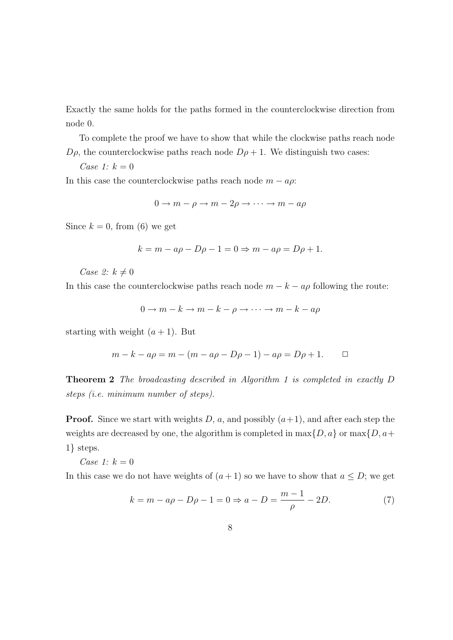Exactly the same holds for the paths formed in the counterclockwise direction from node 0.

To complete the proof we have to show that while the clockwise paths reach node  $D\rho$ , the counterclockwise paths reach node  $D\rho + 1$ . We distinguish two cases:

Case 1:  $k = 0$ 

In this case the counterclockwise paths reach node  $m - a\rho$ :

$$
0 \to m - \rho \to m - 2\rho \to \cdots \to m - a\rho
$$

Since  $k = 0$ , from (6) we get

$$
k = m - a\rho - D\rho - 1 = 0 \Rightarrow m - a\rho = D\rho + 1.
$$

Case 2:  $k \neq 0$ 

In this case the counterclockwise paths reach node  $m - k - a\rho$  following the route:

$$
0 \to m - k \to m - k - \rho \to \cdots \to m - k - a\rho
$$

starting with weight  $(a + 1)$ . But

$$
m - k - a\rho = m - (m - a\rho - D\rho - 1) - a\rho = D\rho + 1.
$$

Theorem 2 The broadcasting described in Algorithm 1 is completed in exactly D steps (i.e. minimum number of steps).

**Proof.** Since we start with weights D, a, and possibly  $(a+1)$ , and after each step the weights are decreased by one, the algorithm is completed in  $\max\{D, a\}$  or  $\max\{D, a+$ 1} steps.

Case 1:  $k = 0$ 

In this case we do not have weights of  $(a + 1)$  so we have to show that  $a \le D$ ; we get

$$
k = m - a\rho - D\rho - 1 = 0 \Rightarrow a - D = \frac{m - 1}{\rho} - 2D.
$$
 (7)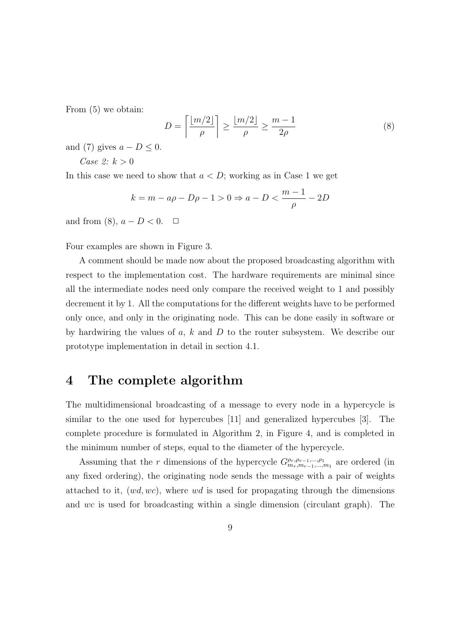From (5) we obtain:

$$
D = \left\lceil \frac{\lfloor m/2 \rfloor}{\rho} \right\rceil \ge \frac{\lfloor m/2 \rfloor}{\rho} \ge \frac{m-1}{2\rho} \tag{8}
$$

and (7) gives  $a - D \leq 0$ .

Case 2:  $k > 0$ 

In this case we need to show that  $a < D$ ; working as in Case 1 we get

$$
k = m - a\rho - D\rho - 1 > 0 \Rightarrow a - D < \frac{m - 1}{\rho} - 2D
$$

and from (8),  $a - D < 0$ .  $\Box$ 

Four examples are shown in Figure 3.

A comment should be made now about the proposed broadcasting algorithm with respect to the implementation cost. The hardware requirements are minimal since all the intermediate nodes need only compare the received weight to 1 and possibly decrement it by 1. All the computations for the different weights have to be performed only once, and only in the originating node. This can be done easily in software or by hardwiring the values of a, k and D to the router subsystem. We describe our prototype implementation in detail in section 4.1.

### 4 The complete algorithm

The multidimensional broadcasting of a message to every node in a hypercycle is similar to the one used for hypercubes [11] and generalized hypercubes [3]. The complete procedure is formulated in Algorithm 2, in Figure 4, and is completed in the minimum number of steps, equal to the diameter of the hypercycle.

Assuming that the r dimensions of the hypercycle  $G_{m_r,m_{r-1},...,m_1}^{\rho_r,\rho_{r-1},...,\rho_1}$  are ordered (in any fixed ordering), the originating node sends the message with a pair of weights attached to it,  $(wd, wc)$ , where wd is used for propagating through the dimensions and wc is used for broadcasting within a single dimension (circulant graph). The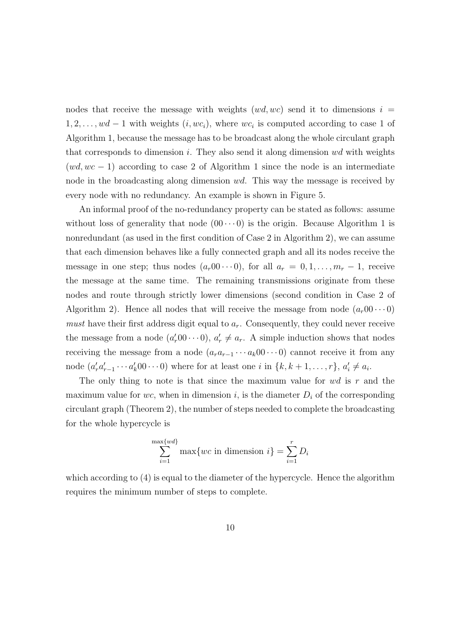nodes that receive the message with weights  $(wd, wc)$  send it to dimensions  $i =$  $1, 2, \ldots, wd - 1$  with weights  $(i, wc_i)$ , where  $wc_i$  is computed according to case 1 of Algorithm 1, because the message has to be broadcast along the whole circulant graph that corresponds to dimension  $i$ . They also send it along dimension  $wd$  with weights  $(wd, wc - 1)$  according to case 2 of Algorithm 1 since the node is an intermediate node in the broadcasting along dimension wd. This way the message is received by every node with no redundancy. An example is shown in Figure 5.

An informal proof of the no-redundancy property can be stated as follows: assume without loss of generality that node  $(00 \cdots 0)$  is the origin. Because Algorithm 1 is nonredundant (as used in the first condition of Case 2 in Algorithm 2), we can assume that each dimension behaves like a fully connected graph and all its nodes receive the message in one step; thus nodes  $(a_r 00 \cdots 0)$ , for all  $a_r = 0, 1, \ldots, m_r - 1$ , receive the message at the same time. The remaining transmissions originate from these nodes and route through strictly lower dimensions (second condition in Case 2 of Algorithm 2). Hence all nodes that will receive the message from node  $(a_r00\cdots0)$ *must* have their first address digit equal to  $a_r$ . Consequently, they could never receive the message from a node  $(a'_r 00 \cdots 0)$ ,  $a'_r \neq a_r$ . A simple induction shows that nodes receiving the message from a node  $(a_ra_{r-1}\cdots a_k00\cdots 0)$  cannot receive it from any node  $(a'_r a'_{r-1} \cdots a'_k 00 \cdots 0)$  where for at least one i in  $\{k, k+1, \ldots, r\}$ ,  $a'_i \neq a_i$ .

The only thing to note is that since the maximum value for  $wd$  is  $r$  and the maximum value for wc, when in dimension i, is the diameter  $D_i$  of the corresponding circulant graph (Theorem 2), the number of steps needed to complete the broadcasting for the whole hypercycle is

$$
\sum_{i=1}^{\max\{wd\}} \max\{wc \text{ in dimension } i\} = \sum_{i=1}^{r} D_i
$$

which according to (4) is equal to the diameter of the hypercycle. Hence the algorithm requires the minimum number of steps to complete.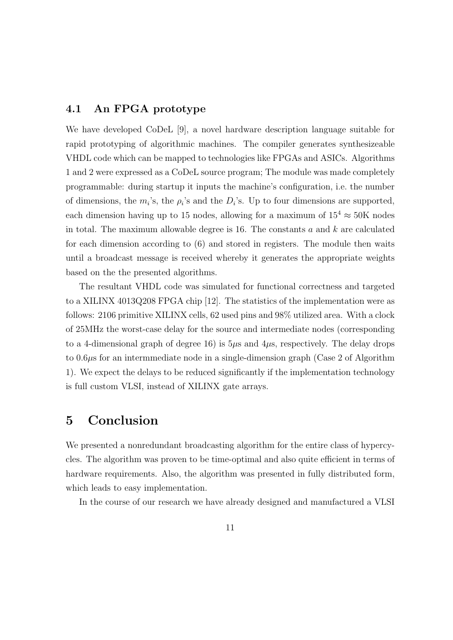#### 4.1 An FPGA prototype

We have developed CoDeL [9], a novel hardware description language suitable for rapid prototyping of algorithmic machines. The compiler generates synthesizeable VHDL code which can be mapped to technologies like FPGAs and ASICs. Algorithms 1 and 2 were expressed as a CoDeL source program; The module was made completely programmable: during startup it inputs the machine's configuration, i.e. the number of dimensions, the  $m_i$ 's, the  $\rho_i$ 's and the  $D_i$ 's. Up to four dimensions are supported, each dimension having up to 15 nodes, allowing for a maximum of  $15^4 \approx 50$ K nodes in total. The maximum allowable degree is 16. The constants  $a$  and  $k$  are calculated for each dimension according to (6) and stored in registers. The module then waits until a broadcast message is received whereby it generates the appropriate weights based on the the presented algorithms.

The resultant VHDL code was simulated for functional correctness and targeted to a XILINX 4013Q208 FPGA chip [12]. The statistics of the implementation were as follows: 2106 primitive XILINX cells, 62 used pins and 98% utilized area. With a clock of 25MHz the worst-case delay for the source and intermediate nodes (corresponding to a 4-dimensional graph of degree 16) is  $5\mu s$  and  $4\mu s$ , respectively. The delay drops to  $0.6\mu$ s for an intermmediate node in a single-dimension graph (Case 2 of Algorithm 1). We expect the delays to be reduced significantly if the implementation technology is full custom VLSI, instead of XILINX gate arrays.

### 5 Conclusion

We presented a nonredundant broadcasting algorithm for the entire class of hypercycles. The algorithm was proven to be time-optimal and also quite efficient in terms of hardware requirements. Also, the algorithm was presented in fully distributed form, which leads to easy implementation.

In the course of our research we have already designed and manufactured a VLSI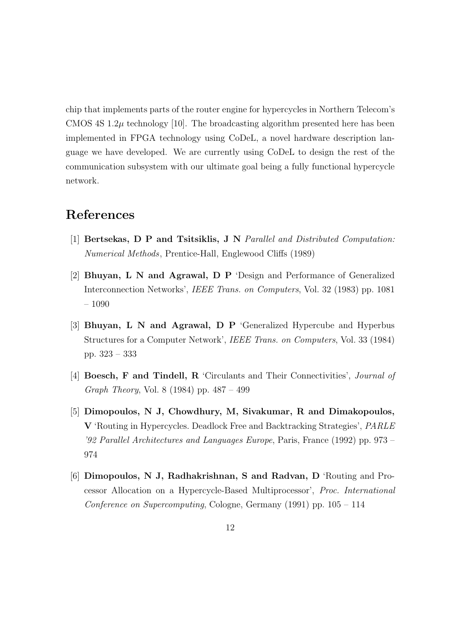chip that implements parts of the router engine for hypercycles in Northern Telecom's CMOS 4S  $1.2\mu$  technology [10]. The broadcasting algorithm presented here has been implemented in FPGA technology using CoDeL, a novel hardware description language we have developed. We are currently using CoDeL to design the rest of the communication subsystem with our ultimate goal being a fully functional hypercycle network.

# References

- [1] Bertsekas, D P and Tsitsiklis, J N Parallel and Distributed Computation: Numerical Methods, Prentice-Hall, Englewood Cliffs (1989)
- [2] Bhuyan, L N and Agrawal, D P 'Design and Performance of Generalized Interconnection Networks', IEEE Trans. on Computers, Vol. 32 (1983) pp. 1081 – 1090
- [3] Bhuyan, L N and Agrawal, D P 'Generalized Hypercube and Hyperbus Structures for a Computer Network', IEEE Trans. on Computers, Vol. 33 (1984) pp. 323 – 333
- [4] Boesch, F and Tindell, R 'Circulants and Their Connectivities', Journal of Graph Theory, Vol. 8 (1984) pp. 487 – 499
- [5] Dimopoulos, N J, Chowdhury, M, Sivakumar, R and Dimakopoulos, V 'Routing in Hypercycles. Deadlock Free and Backtracking Strategies', PARLE '92 Parallel Architectures and Languages Europe, Paris, France (1992) pp. 973 – 974
- [6] Dimopoulos, N J, Radhakrishnan, S and Radvan, D 'Routing and Processor Allocation on a Hypercycle-Based Multiprocessor', Proc. International Conference on Supercomputing, Cologne, Germany (1991) pp. 105 – 114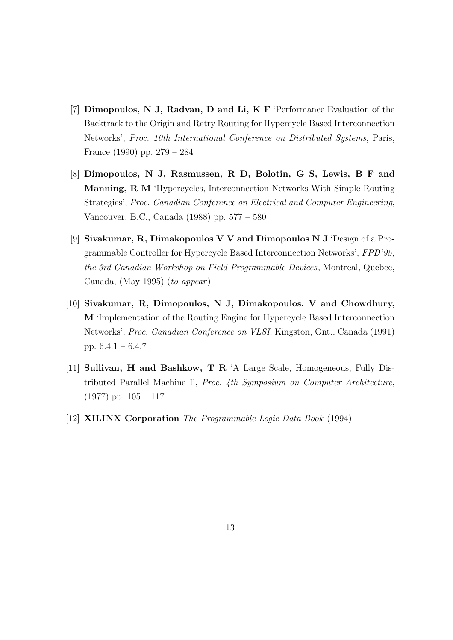- [7] Dimopoulos, N J, Radvan, D and Li, K F 'Performance Evaluation of the Backtrack to the Origin and Retry Routing for Hypercycle Based Interconnection Networks', Proc. 10th International Conference on Distributed Systems, Paris, France (1990) pp. 279 – 284
- [8] Dimopoulos, N J, Rasmussen, R D, Bolotin, G S, Lewis, B F and Manning, R M 'Hypercycles, Interconnection Networks With Simple Routing Strategies', Proc. Canadian Conference on Electrical and Computer Engineering, Vancouver, B.C., Canada (1988) pp. 577 – 580
- [9] Sivakumar, R, Dimakopoulos V V and Dimopoulos N J 'Design of a Programmable Controller for Hypercycle Based Interconnection Networks', FPD'95, the 3rd Canadian Workshop on Field-Programmable Devices, Montreal, Quebec, Canada, (May 1995) (to appear)
- [10] Sivakumar, R, Dimopoulos, N J, Dimakopoulos, V and Chowdhury, M 'Implementation of the Routing Engine for Hypercycle Based Interconnection Networks', Proc. Canadian Conference on VLSI, Kingston, Ont., Canada (1991) pp. 6.4.1 – 6.4.7
- [11] Sullivan, H and Bashkow, T R 'A Large Scale, Homogeneous, Fully Distributed Parallel Machine I', Proc. 4th Symposium on Computer Architecture,  $(1977)$  pp.  $105 - 117$
- [12] XILINX Corporation The Programmable Logic Data Book (1994)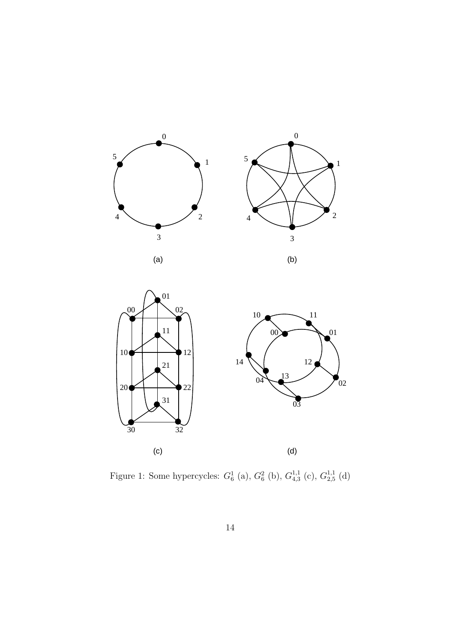



Figure 1: Some hypercycles:  $G_6^1$  (a),  $G_6^2$  (b),  $G_{4,3}^{1,1}$  $^{1,1}_{4,3}$  (c),  $G_{2,5}^{1,1}$  $_{2,5}^{1,1}$  (d)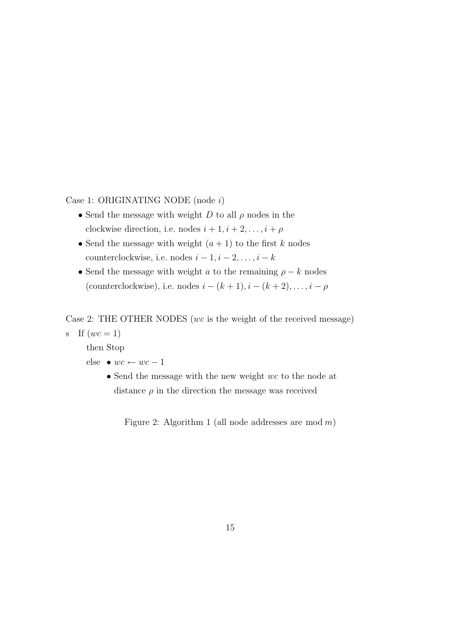Case 1: ORIGINATING NODE (node i)

- Send the message with weight D to all  $\rho$  nodes in the clockwise direction, i.e. nodes  $i + 1, i + 2, \ldots, i + \rho$
- Send the message with weight  $(a + 1)$  to the first k nodes counterclockwise, i.e. nodes  $i-1, i-2, \ldots, i-k$
- Send the message with weight a to the remaining  $\rho k$  nodes (counterclockwise), i.e. nodes  $i - (k + 1), i - (k + 2), \ldots, i - \rho$

Case 2: THE OTHER NODES ( $wc$  is the weight of the received message)

s If  $(wc = 1)$ 

then Stop

- else  $wc \leftarrow wc 1$ 
	- Send the message with the new weight wc to the node at distance  $\rho$  in the direction the message was received

Figure 2: Algorithm 1 (all node addresses are mod  $m$ )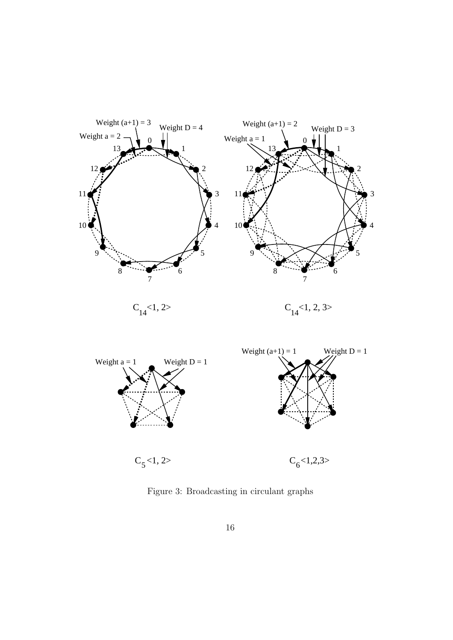

Figure 3: Broadcasting in circulant graphs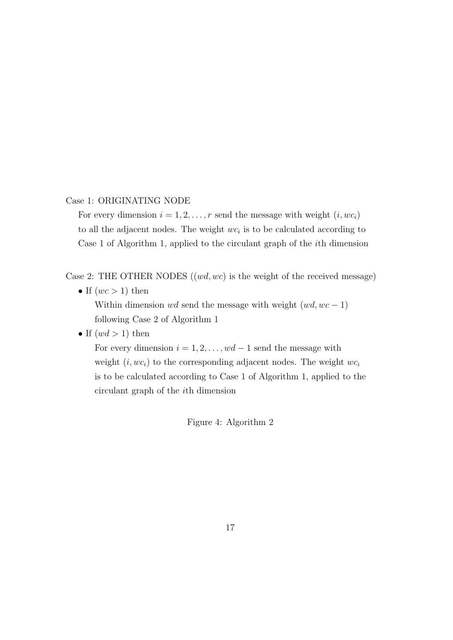#### Case 1: ORIGINATING NODE

For every dimension  $i = 1, 2, ..., r$  send the message with weight  $(i, wc_i)$ to all the adjacent nodes. The weight  $wc_i$  is to be calculated according to Case 1 of Algorithm 1, applied to the circulant graph of the ith dimension

Case 2: THE OTHER NODES  $((wd, wc)$  is the weight of the received message)

- If  $(wc > 1)$  then Within dimension wd send the message with weight  $(wd, wc - 1)$ following Case 2 of Algorithm 1
- If  $(wd > 1)$  then

For every dimension  $i = 1, 2, \ldots, wd - 1$  send the message with weight  $(i, wc_i)$  to the corresponding adjacent nodes. The weight  $wc_i$ is to be calculated according to Case 1 of Algorithm 1, applied to the circulant graph of the ith dimension

Figure 4: Algorithm 2